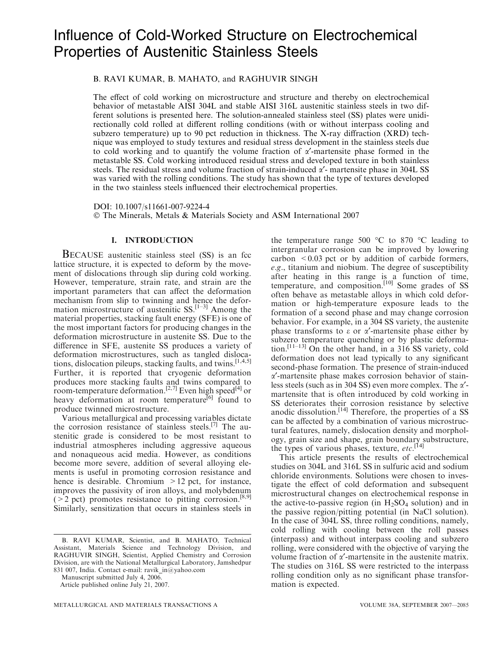# Influence of Cold-Worked Structure on Electrochemical Properties of Austenitic Stainless Steels

# B. RAVI KUMAR, B. MAHATO, and RAGHUVIR SINGH

The effect of cold working on microstructure and structure and thereby on electrochemical behavior of metastable AISI 304L and stable AISI 316L austenitic stainless steels in two different solutions is presented here. The solution-annealed stainless steel (SS) plates were unidirectionally cold rolled at different rolling conditions (with or without interpass cooling and subzero temperature) up to 90 pct reduction in thickness. The X-ray diffraction (XRD) technique was employed to study textures and residual stress development in the stainless steels due to cold working and to quantify the volume fraction of  $\alpha'$ -martensite phase formed in the metastable SS. Cold working introduced residual stress and developed texture in both stainless steels. The residual stress and volume fraction of strain-induced  $\alpha'$ - martensite phase in 304L SS was varied with the rolling conditions. The study has shown that the type of textures developed in the two stainless steels influenced their electrochemical properties.

DOI: 10.1007/s11661-007-9224-4 The Minerals, Metals & Materials Society and ASM International 2007

### I. INTRODUCTION

BECAUSE austenitic stainless steel (SS) is an fcc lattice structure, it is expected to deform by the movement of dislocations through slip during cold working. However, temperature, strain rate, and strain are the important parameters that can affect the deformation mechanism from slip to twinning and hence the deformation microstructure of austenitic  $SS$ <sup>[1–3]</sup> Among the material properties, stacking fault energy (SFE) is one of the most important factors for producing changes in the deformation microstructure in austenite SS. Due to the difference in SFE, austenite SS produces a variety of deformation microstructures, such as tangled dislocations, dislocation pileups, stacking faults, and twins.<sup>[1,4,5]</sup> Further, it is reported that cryogenic deformation produces more stacking faults and twins compared to room-temperature deformation.<sup>[2,7]</sup> Even high speed<sup>[4]</sup> or heavy deformation at room temperature<sup>[6]</sup> found to produce twinned microstructure.

Various metallurgical and processing variables dictate the corrosion resistance of stainless steels.[7] The austenitic grade is considered to be most resistant to industrial atmospheres including aggressive aqueous and nonaqueous acid media. However, as conditions become more severe, addition of several alloying elements is useful in promoting corrosion resistance and hence is desirable. Chromium  $>12$  pct, for instance, improves the passivity of iron alloys, and molybdenum ( $>$ 2 pct) promotes resistance to pitting corrosion.<sup>[8,9]</sup> Similarly, sensitization that occurs in stainless steels in

B. RAVI KUMAR, Scientist, and B. MAHATO, Technical Assistant, Materials Science and Technology Division, and RAGHUVIR SINGH, Scientist, Applied Chemistry and Corrosion Division, are with the National Metallurgical Laboratory, Jamshedpur 831 007, India. Contact e-mail: ravik\_in@yahoo.com

Manuscript submitted July 4, 2006.

the temperature range 500  $\degree$ C to 870  $\degree$ C leading to intergranular corrosion can be improved by lowering carbon  $\leq 0.03$  pct or by addition of carbide formers, e.g., titanium and niobium. The degree of susceptibility after heating in this range is a function of time, temperature, and composition.<sup>[10]</sup> Some grades of SS often behave as metastable alloys in which cold deformation or high-temperature exposure leads to the formation of a second phase and may change corrosion behavior. For example, in a 304 SS variety, the austenite phase transforms to  $\varepsilon$  or  $\alpha'$ -martensite phase either by subzero temperature quenching or by plastic deformation.<sup>[11–13]</sup> On the other hand, in a  $316$  SS variety, cold deformation does not lead typically to any significant second-phase formation. The presence of strain-induced a¢-martensite phase makes corrosion behavior of stainless steels (such as in 304 SS) even more complex. The  $\alpha'$ martensite that is often introduced by cold working in SS deteriorates their corrosion resistance by selective anodic dissolution.<sup>[14]</sup> Therefore, the properties of a SS can be affected by a combination of various microstructural features, namely, dislocation density and morphology, grain size and shape, grain boundary substructure, the types of various phases, texture, etc.<sup>[14]</sup>

This article presents the results of electrochemical studies on 304L and 316L SS in sulfuric acid and sodium chloride environments. Solutions were chosen to investigate the effect of cold deformation and subsequent microstructural changes on electrochemical response in the active-to-passive region (in  $H_2SO_4$  solution) and in the passive region/pitting potential (in NaCl solution). In the case of 304L SS, three rolling conditions, namely, cold rolling with cooling between the roll passes (interpass) and without interpass cooling and subzero rolling, were considered with the objective of varying the volume fraction of  $\alpha'$ -martensite in the austenite matrix. The studies on 316L SS were restricted to the interpass rolling condition only as no significant phase transformation is expected.

Article published online July 21, 2007.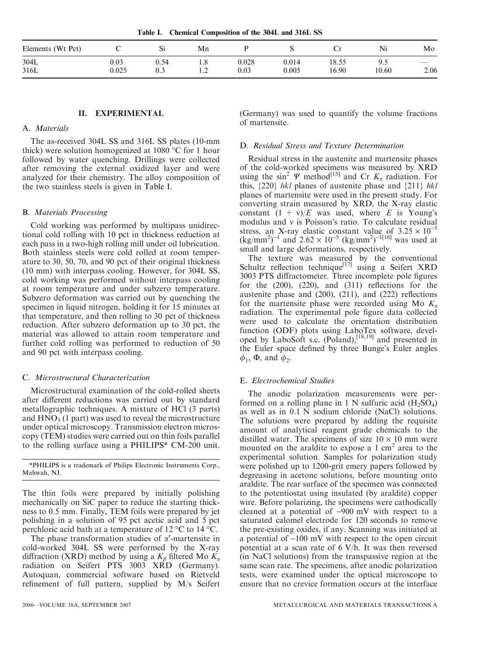Table I. Chemical Composition of the 304L and 316L SS

| Elements (Wt Pct) |           | $\mathbf{D}$ | Mn  |          |       | ັ     | Ni    | Mo   |
|-------------------|-----------|--------------|-----|----------|-------|-------|-------|------|
| 304L              | $_{0.03}$ | 0.54         | 1.0 | 0.028    | 0.014 | 18.55 | ノ・)   |      |
| 316L              | 0.025     | v.J          | .   | $0.03\,$ | 0.005 | 16.90 | 10.60 | 2.06 |

# II. EXPERIMENTAL

## A. Materials

The as-received 304L SS and 316L SS plates (10-mm thick) were solution homogenized at 1080  $\degree$ C for 1 hour followed by water quenching. Drillings were collected after removing the external oxidized layer and were analyzed for their chemistry. The alloy composition of the two stainless steels is given in Table I.

#### B. Materials Processing

Cold working was performed by multipass unidirectional cold rolling with 10 pct in thickness reduction at each pass in a two-high rolling mill under oil lubrication. Both stainless steels were cold rolled at room temperature to 30, 50, 70, and 90 pct of their original thickness (10 mm) with interpass cooling. However, for 304L SS, cold working was performed without interpass cooling at room temperature and under subzero temperature. Subzero deformation was carried out by quenching the specimen in liquid nitrogen, holding it for 15 minutes at that temperature, and then rolling to 30 pct of thickness reduction. After subzero deformation up to 30 pct, the material was allowed to attain room temperature and further cold rolling was performed to reduction of 50 and 90 pct with interpass cooling.

### C. Microstructural Characterization

Microstructural examination of the cold-rolled sheets after different reductions was carried out by standard metallographic techniques. A mixture of HCl (3 parts) and  $HNO<sub>3</sub>$  (1 part) was used to reveal the microstructure under optical microscopy. Transmission electron microscopy (TEM) studies were carried out on thin foils parallel to the rolling surface using a PHILIPS\* CM-200 unit.

\*PHILIPS is a trademark of Philips Electronic Instruments Corp., Mahwah, NJ.

The thin foils were prepared by initially polishing mechanically on SiC paper to reduce the starting thickness to 0.5 mm. Finally, TEM foils were prepared by jet polishing in a solution of 95 pct acetic acid and 5 pct perchloric acid bath at a temperature of 12  $\rm{°C}$  to 14  $\rm{°C}$ .

The phase transformation studies of  $\alpha'$ -martensite in cold-worked 304L SS were performed by the X-ray diffraction (XRD) method by using a  $K_\beta$  filtered Mo  $K_\alpha$ radiation on Seifert PTS 3003 XRD (Germany). Autoquan, commercial software based on Rietveld refinement of full pattern, supplied by M/s Seifert (Germany) was used to quantify the volume fractions of martensite.

#### D. Residual Stress and Texture Determination

Residual stress in the austenite and martensite phases of the cold-worked specimens was measured by XRD using the sin<sup>2</sup>  $\Psi$  method<sup>[15]</sup> and Cr  $K_{\alpha}$  radiation. For this,  $\{220\}$  hkl planes of austenite phase and  $\{211\}$  hkl planes of martensite were used in the present study. For converting strain measured by XRD, the X-ray elastic constant  $(1 + v)/E$  was used, where E is Young's modulus and  $\nu$  is Poisson's ratio. To calculate residual stress, an X-ray elastic constant value of  $3.25 \times 10^{-5}$  $(\text{kg/mm}^2)^{-1}$  and  $2.62 \times 10^{-5}$   $(\text{kg/mm}^2)^{-1[16]}$  was used at small and large deformations, respectively.

The texture was measured by the conventional Schultz reflection technique<sup>[17]</sup> using a Seifert XRD 3003 PTS diffractometer. Three incomplete pole figures for the (200), (220), and (311) reflections for the austenite phase and (200), (211), and (222) reflections for the martensite phase were recorded using Mo  $K_{\alpha}$ radiation. The experimental pole figure data collected were used to calculate the orientation distribution function (ODF) plots using LaboTex software, developed by LaboSoft s.c. (Poland),[18,19] and presented in the Euler space defined by three Bunge's Euler angles  $\phi_1$ ,  $\Phi$ , and  $\phi_2$ .

## E. Electrochemical Studies

The anodic polarization measurements were performed on a rolling plane in 1 N sulfuric acid  $(H_2SO_4)$ as well as in 0.1 N sodium chloride (NaCl) solutions. The solutions were prepared by adding the requisite amount of analytical reagent grade chemicals to the distilled water. The specimens of size  $10 \times 10$  mm were mounted on the araldite to expose a  $1 \text{ cm}^2$  area to the experimental solution. Samples for polarization study were polished up to 1200-grit emery papers followed by degreasing in acetone solutions, before mounting onto araldite. The rear surface of the specimen was connected to the potentiostat using insulated (by araldite) copper wire. Before polarizing, the specimens were cathodically cleaned at a potential of  $-900$  mV with respect to a saturated calomel electrode for 120 seconds to remove the pre-existing oxides, if any. Scanning was initiated at a potential of  $-100$  mV with respect to the open circuit potential at a scan rate of  $6$  V/h. It was then reversed (in NaCl solutions) from the transpassive region at the same scan rate. The specimens, after anodic polarization tests, were examined under the optical microscope to ensure that no crevice formation occurs at the interface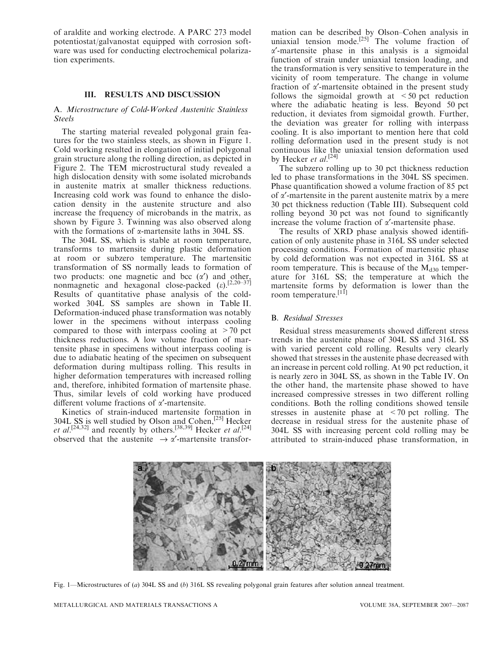of araldite and working electrode. A PARC 273 model potentiostat/galvanostat equipped with corrosion software was used for conducting electrochemical polarization experiments.

# III. RESULTS AND DISCUSSION

## A. Microstructure of Cold-Worked Austenitic Stainless Steels

The starting material revealed polygonal grain features for the two stainless steels, as shown in Figure 1. Cold working resulted in elongation of initial polygonal grain structure along the rolling direction, as depicted in Figure 2. The TEM microstructural study revealed a high dislocation density with some isolated microbands in austenite matrix at smaller thickness reductions. Increasing cold work was found to enhance the dislocation density in the austenite structure and also increase the frequency of microbands in the matrix, as shown by Figure 3. Twinning was also observed along with the formations of  $\alpha$ -martensite laths in 304L SS.

The 304L SS, which is stable at room temperature, transforms to martensite during plastic deformation at room or subzero temperature. The martensitic transformation of SS normally leads to formation of two products: one magnetic and bcc  $(\alpha')$  and other, nonmagnetic and hexagonal close-packed  $(\varepsilon)$ .<sup>[2,20–37]</sup> Results of quantitative phase analysis of the coldworked 304L SS samples are shown in Table II. Deformation-induced phase transformation was notably lower in the specimens without interpass cooling compared to those with interpass cooling at  $>70$  pct thickness reductions. A low volume fraction of martensite phase in specimens without interpass cooling is due to adiabatic heating of the specimen on subsequent deformation during multipass rolling. This results in higher deformation temperatures with increased rolling and, therefore, inhibited formation of martensite phase. Thus, similar levels of cold working have produced different volume fractions of  $\alpha'$ -martensite.

Kinetics of strain-induced martensite formation in 304L SS is well studied by Olson and Cohen,<sup>[25]</sup> Hecker et al.<sup>[24,32]</sup> and recently by others.<sup>[38,39]</sup> Hecker et al.<sup>[24]</sup> observed that the austenite  $\rightarrow \alpha'$ -martensite transfor-

mation can be described by Olson–Cohen analysis in uniaxial tension mode.<sup>[25]</sup> The volume fraction of  $\alpha'$ -martensite phase in this analysis is a sigmoidal function of strain under uniaxial tension loading, and the transformation is very sensitive to temperature in the vicinity of room temperature. The change in volume fraction of  $\alpha'$ -martensite obtained in the present study follows the sigmoidal growth at  $\leq 50$  pct reduction where the adiabatic heating is less. Beyond 50 pct reduction, it deviates from sigmoidal growth. Further, the deviation was greater for rolling with interpass cooling. It is also important to mention here that cold rolling deformation used in the present study is not continuous like the uniaxial tension deformation used by Hecker et al.<sup>[24]</sup>

The subzero rolling up to 30 pct thickness reduction led to phase transformations in the 304L SS specimen. Phase quantification showed a volume fraction of 85 pct of  $\alpha'$ -martensite in the parent austenite matrix by a mere 30 pct thickness reduction (Table III). Subsequent cold rolling beyond 30 pct was not found to significantly increase the volume fraction of  $\alpha'$ -martensite phase.

The results of XRD phase analysis showed identification of only austenite phase in 316L SS under selected processing conditions. Formation of martensitic phase by cold deformation was not expected in 316L SS at room temperature. This is because of the  $M_{d30}$  temperature for 316L SS; the temperature at which the martensite forms by deformation is lower than the room temperature.<sup>[11]</sup>

## B. Residual Stresses

Residual stress measurements showed different stress trends in the austenite phase of 304L SS and 316L SS with varied percent cold rolling. Results very clearly showed that stresses in the austenite phase decreased with an increase in percent cold rolling. At 90 pct reduction, it is nearly zero in 304L SS, as shown in the Table IV. On the other hand, the martensite phase showed to have increased compressive stresses in two different rolling conditions. Both the rolling conditions showed tensile stresses in austenite phase at <70 pct rolling. The decrease in residual stress for the austenite phase of 304L SS with increasing percent cold rolling may be attributed to strain-induced phase transformation, in



Fig. 1—Microstructures of (a) 304L SS and (b) 316L SS revealing polygonal grain features after solution anneal treatment.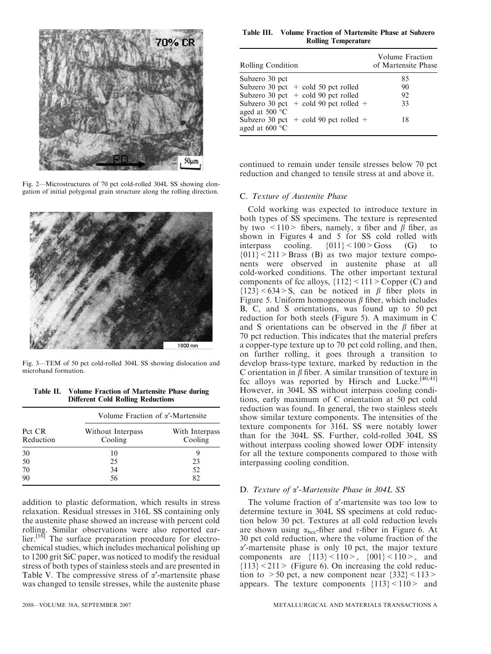

Fig. 2—Microstructures of 70 pct cold-rolled 304L SS showing elongation of initial polygonal grain structure along the rolling direction.



Fig. 3—TEM of 50 pct cold-rolled 304L SS showing dislocation and microband formation.

Table II. Volume Fraction of Martensite Phase during Different Cold Rolling Reductions

| Pct CR<br>Reduction | Volume Fraction of $\alpha'$ -Martensite |                           |  |  |  |  |
|---------------------|------------------------------------------|---------------------------|--|--|--|--|
|                     | Without Interpass<br>Cooling             | With Interpass<br>Cooling |  |  |  |  |
| 30                  | 10                                       |                           |  |  |  |  |
| 50                  | 25                                       | 23                        |  |  |  |  |
| 70                  | 34                                       | 52                        |  |  |  |  |
| 90                  | 56                                       | 82                        |  |  |  |  |

addition to plastic deformation, which results in stress relaxation. Residual stresses in 316L SS containing only the austenite phase showed an increase with percent cold rolling. Similar observations were also reported earlier.<sup>[16]</sup> The surface preparation procedure for electrochemical studies, which includes mechanical polishing up to 1200 grit SiC paper, was noticed to modify the residual stress of both types of stainless steels and are presented in Table V. The compressive stress of  $\alpha'$ -martensite phase was changed to tensile stresses, while the austenite phase

## Table III. Volume Fraction of Martensite Phase at Subzero Rolling Temperature

| Rolling Condition                                             | Volume Fraction<br>of Martensite Phase |
|---------------------------------------------------------------|----------------------------------------|
| Subzero 30 pct                                                | 85                                     |
| Subzero 30 pct $+$ cold 50 pct rolled                         | 90                                     |
| Subzero 30 pct $+$ cold 90 pct rolled                         | 92                                     |
| Subzero 30 pct $+$ cold 90 pct rolled $+$<br>aged at 500 °C   | 33                                     |
| Subzero 30 pct $+$ cold 90 pct rolled $+$<br>aged at $600 °C$ | 18                                     |

continued to remain under tensile stresses below 70 pct reduction and changed to tensile stress at and above it.

## C. Texture of Austenite Phase

Cold working was expected to introduce texture in both types of SS specimens. The texture is represented by two  $\langle 110 \rangle$  fibers, namely,  $\alpha$  fiber and  $\beta$  fiber, as shown in Figures 4 and 5 for SS cold rolled with<br>interpass cooling.  $\{011\} < 100 >$  Goss (G) to interpass cooling.  $\{011\} < 100 > G$ oss (G) to  ${011}$  < 211 > Brass (B) as two major texture components were observed in austenite phase at all cold-worked conditions. The other important textural components of fcc alloys,  ${112}$  <  $111$  > Copper (C) and  ${123} < 634 > S$ , can be noticed in  $\beta$  fiber plots in Figure 5. Uniform homogeneous  $\beta$  fiber, which includes B, C, and S orientations, was found up to 50 pct reduction for both steels (Figure 5). A maximum in C and S orientations can be observed in the  $\beta$  fiber at 70 pct reduction. This indicates that the material prefers a copper-type texture up to 70 pct cold rolling, and then, on further rolling, it goes through a transition to develop brass-type texture, marked by reduction in the C orientation in  $\beta$  fiber. A similar transition of texture in fcc alloys was reported by Hirsch and Lucke.<sup>[40,41]</sup> However, in 304L SS without interpass cooling conditions, early maximum of C orientation at 50 pct cold reduction was found. In general, the two stainless steels show similar texture components. The intensities of the texture components for 316L SS were notably lower than for the 304L SS. Further, cold-rolled 304L SS without interpass cooling showed lower ODF intensity for all the texture components compared to those with interpassing cooling condition.

#### D. Texture of  $\alpha'$ -Martensite Phase in 304L SS

The volume fraction of  $\alpha'$ -martensite was too low to determine texture in 304L SS specimens at cold reduction below 30 pct. Textures at all cold reduction levels are shown using  $\alpha_{bcc}$ -fiber and  $\tau$ -fiber in Figure 6. At 30 pct cold reduction, where the volume fraction of the  $\alpha'$ -martensite phase is only 10 pct, the major texture components are  ${113} < 110 >$ ,  ${001} < 110 >$ , and  ${113}$  < 211 > (Figure 6). On increasing the cold reduction to  $>50$  pct, a new component near  $\{332\} < 113>$ appears. The texture components  ${13} < 110$  and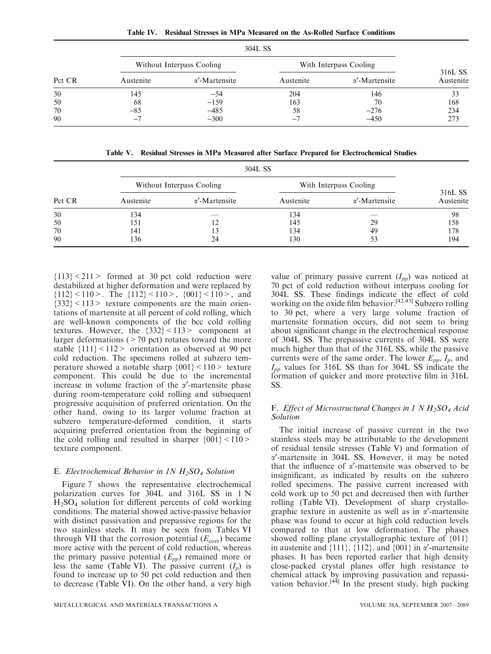| Table IV. Residual Stresses in MPa Measured on the As-Rolled Surface Conditions |  |  |  |  |  |  |  |  |
|---------------------------------------------------------------------------------|--|--|--|--|--|--|--|--|
|---------------------------------------------------------------------------------|--|--|--|--|--|--|--|--|

|        |                          | 304L SS                   |                        |                       |                      |  |  |  |  |
|--------|--------------------------|---------------------------|------------------------|-----------------------|----------------------|--|--|--|--|
|        |                          | Without Interpass Cooling | With Interpass Cooling |                       |                      |  |  |  |  |
| Pct CR | Austenite                | $\alpha'$ -Martensite     | Austenite              | $\alpha'$ -Martensite | 316L SS<br>Austenite |  |  |  |  |
| 30     | 145                      | $-54$                     | 204                    | 146                   | 33                   |  |  |  |  |
| 50     | 68                       | $-159$                    | 163                    | 70                    | 168                  |  |  |  |  |
| 70     | $-85$                    | $-485$                    | 58                     | $-276$                | 234                  |  |  |  |  |
| 90     | $\overline{\phantom{a}}$ | $-300$                    | $-7$                   | $-450$                | 273                  |  |  |  |  |

Table V. Residual Stresses in MPa Measured after Surface Prepared for Electrochemical Studies

|        |           | 304L SS                   |                        |                       |                      |  |  |  |  |
|--------|-----------|---------------------------|------------------------|-----------------------|----------------------|--|--|--|--|
|        |           | Without Interpass Cooling | With Interpass Cooling |                       |                      |  |  |  |  |
| Pct CR | Austenite | $\alpha'$ -Martensite     | Austenite              | $\alpha'$ -Martensite | 316L SS<br>Austenite |  |  |  |  |
| 30     | 134       | ___                       | l 34                   | <b>STATISTICS</b>     | 98                   |  |  |  |  |
| 50     | 151       |                           | 145                    | 29                    | 158                  |  |  |  |  |
| 70     | 141       |                           | 34                     | 49                    | 178                  |  |  |  |  |
| 90     | 136       | 24                        | $\overline{30}$        | 53                    | 194                  |  |  |  |  |

 ${113}$  < 211 > formed at 30 pct cold reduction were destabilized at higher deformation and were replaced by  ${112}$  < 110 >. The  ${112}$  < 110 >,  ${001}$  < 110 >, and  ${332}$  < 113 > texture components are the main orientations of martensite at all percent of cold rolling, which are well-known components of the bcc cold rolling textures. However, the  ${332} \le 113$  component at larger deformations ( $>70$  pct) rotates toward the more stable  ${111}$  < 112> orientation as observed at 90 pct cold reduction. The specimens rolled at subzero temperature showed a notable sharp  $\{001\}$  < 110 > texture component. This could be due to the incremental increase in volume fraction of the  $\alpha'$ -martensite phase during room-temperature cold rolling and subsequent progressive acquisition of preferred orientation. On the other hand, owing to its larger volume fraction at subzero temperature-deformed condition, it starts acquiring preferred orientation from the beginning of the cold rolling and resulted in sharper  $\{001\}$  < 110 > texture component.

## E. Electrochemical Behavior in 1N  $H_2SO_4$  Solution

Figure 7 shows the representative electrochemical polarization curves for 304L and 316L SS in 1 N H2SO4 solution for different percents of cold working conditions. The material showed active-passive behavior with distinct passivation and prepassive regions for the two stainless steels. It may be seen from Tables VI through VII that the corrosion potential  $(E_{\text{corr}})$  became more active with the percent of cold reduction, whereas the primary passive potential  $(E_{pp})$  remained more or less the same (Table VI). The passive current  $(I_p)$  is found to increase up to 50 pct cold reduction and then to decrease (Table VI). On the other hand, a very high

value of primary passive current  $(I_{pp})$  was noticed at 70 pct of cold reduction without interpass cooling for 304L SS. These findings indicate the effect of cold working on the oxide film behavior.<sup>[42,43]</sup> Subzero rolling to 30 pct, where a very large volume fraction of martensite formation occurs, did not seem to bring about significant change in the electrochemical response of 304L SS. The prepassive currents of 304L SS were much higher than that of the 316L SS, while the passive currents were of the same order. The lower  $E_{pp}$ ,  $I_p$ , and  $I_{pp}$  values for 316L SS than for 304L SS indicate the formation of quicker and more protective film in 316L SS.

# F. Effect of Microstructural Changes in 1 N  $H_2SO_4$  Acid Solution

The initial increase of passive current in the two stainless steels may be attributable to the development of residual tensile stresses (Table V) and formation of  $\alpha'$ -martensite in 304L SS. However, it may be noted that the influence of  $\alpha'$ -martensite was observed to be insignificant, as indicated by results on the subzero rolled specimens. The passive current increased with cold work up to 50 pct and decreased then with further rolling (Table VI). Development of sharp crystallographic texture in austenite as well as in  $\alpha'$ -martensite phase was found to occur at high cold reduction levels compared to that at low deformation. The phases showed rolling plane crystallographic texture of {011} in austenite and  $\{111\}$ ,  $\{112\}$ , and  $\{001\}$  in  $\alpha'$ -martensite phases. It has been reported earlier that high density close-packed crystal planes offer high resistance to chemical attack by improving passivation and repassivation behavior.<sup>[44]</sup> In the present study, high packing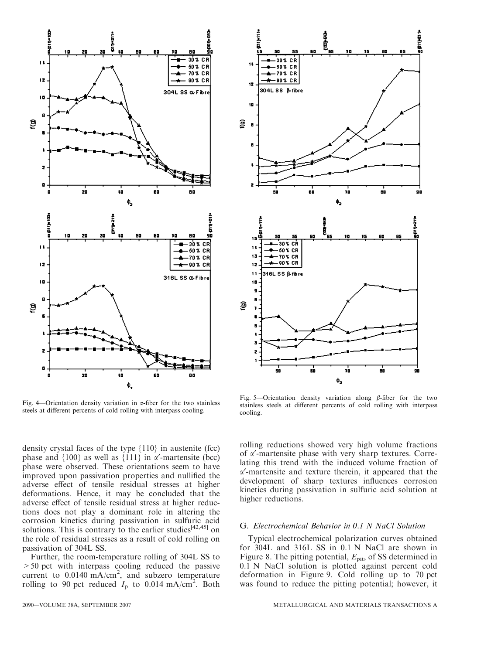

Fig. 4—Orientation density variation in  $\alpha$ -fiber for the two stainless steels at different percents of cold rolling with interpass cooling.

density crystal faces of the type {110} in austenite (fcc) phase and  $\{100\}$  as well as  $\{111\}$  in  $\alpha'$ -martensite (bcc) phase were observed. These orientations seem to have improved upon passivation properties and nullified the adverse effect of tensile residual stresses at higher deformations. Hence, it may be concluded that the adverse effect of tensile residual stress at higher reductions does not play a dominant role in altering the corrosion kinetics during passivation in sulfuric acid solutions. This is contrary to the earlier studies<sup>[42,45]</sup> on the role of residual stresses as a result of cold rolling on passivation of 304L SS.

Further, the room-temperature rolling of 304L SS to >50 pct with interpass cooling reduced the passive current to  $0.0140 \text{ mA/cm}^2$ , and subzero temperature rolling to 90 pct reduced  $I_p$  to 0.014 mA/cm<sup>2</sup>. Both



i

Ф,

ī

i

 $\mathbf{1}$ 

12

10

É

15

 $\mathbf{1}$ 

 $13$ 

 $12$  $11$ 

10

я

х z

ම

Q) - E .<br>30% CR

 $-50X$  CR

70% CR

-90% CR

30 % CR

50% CR

70% CR -90% CR

316L SS ßfibre

304LSS ß-fibre

G. Electrochemical Behavior in 0.1 N NaCl Solution

Typical electrochemical polarization curves obtained for 304L and 316L SS in 0.1 N NaCl are shown in Figure 8. The pitting potential,  $E_{\text{pit}}$ , of SS determined in 0.1 N NaCl solution is plotted against percent cold deformation in Figure 9. Cold rolling up to 70 pct was found to reduce the pitting potential; however, it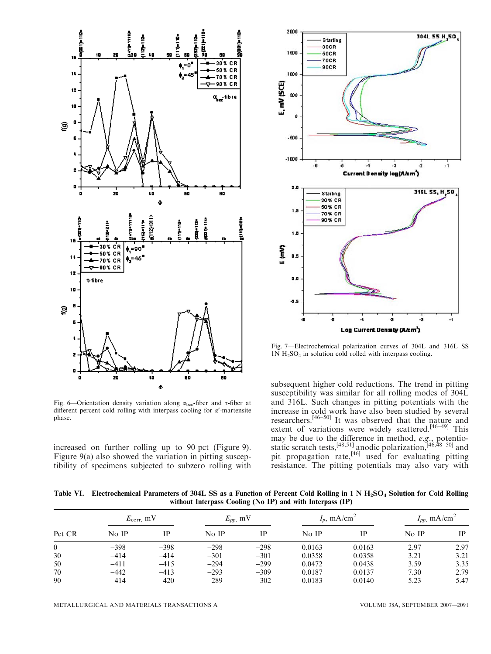

Fig. 6—Orientation density variation along  $\alpha_{\text{bcc}}$ -fiber and  $\tau$ -fiber at different percent cold rolling with interpass cooling for  $\alpha'$ -martensite phase.

increased on further rolling up to 90 pct (Figure 9). Figure 9(a) also showed the variation in pitting susceptibility of specimens subjected to subzero rolling with



Fig. 7—Electrochemical polarization curves of 304L and 316L SS  $1N H<sub>2</sub>SO<sub>4</sub>$  in solution cold rolled with interpass cooling.

subsequent higher cold reductions. The trend in pitting susceptibility was similar for all rolling modes of 304L and 316L. Such changes in pitting potentials with the increase in cold work have also been studied by several researchers.[46–50] It was observed that the nature and extent of variations were widely scattered.<sup>[46–49]</sup> This may be due to the difference in method, e.g., potentiostatic scratch tests,  $^{[48,51]}$  anodic polarization,  $^{[46,48-50]}$  and pit propagation rate,<sup>[46]</sup> used for evaluating pitting resistance. The pitting potentials may also vary with

Table VI. Electrochemical Parameters of 304L SS as a Function of Percent Cold Rolling in 1 N H<sub>2</sub>SO<sub>4</sub> Solution for Cold Rolling without Interpass Cooling (No IP) and with Interpass (IP)

|                | $E_{\rm corr,}$ mV |        |        | $E_{pp}$ , mV |        | $I_n$ , mA/cm <sup>2</sup> |       | $I_{pp}$ , mA/cm <sup>2</sup> |  |
|----------------|--------------------|--------|--------|---------------|--------|----------------------------|-------|-------------------------------|--|
| Pct CR         | No IP              | IP     | No IP  | IΡ            | No IP  | IР                         | No IP | <b>IP</b>                     |  |
| $\overline{0}$ | $-398$             | $-398$ | $-298$ | $-298$        | 0.0163 | 0.0163                     | 2.97  | 2.97                          |  |
| 30             | $-414$             | $-414$ | $-301$ | $-301$        | 0.0358 | 0.0358                     | 3.21  | 3.21                          |  |
| 50             | $-411$             | $-415$ | $-294$ | $-299$        | 0.0472 | 0.0438                     | 3.59  | 3.35                          |  |
| 70             | $-442$             | $-413$ | $-293$ | $-309$        | 0.0187 | 0.0137                     | 7.30  | 2.79                          |  |
| 90             | $-414$             | $-420$ | $-289$ | $-302$        | 0.0183 | 0.0140                     | 5.23  | 5.47                          |  |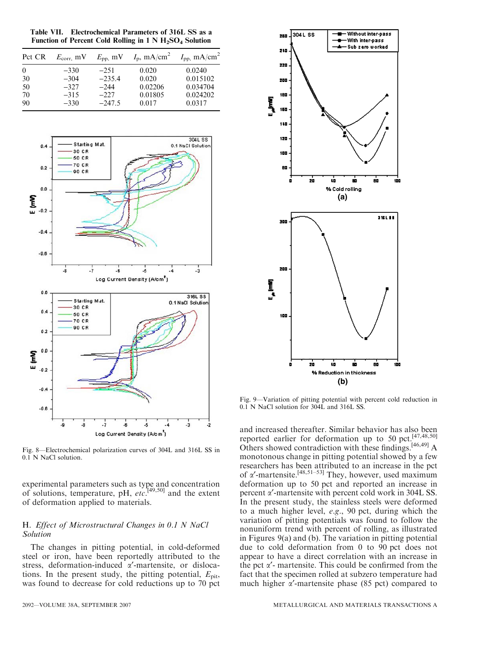Table VII. Electrochemical Parameters of 316L SS as a Function of Percent Cold Rolling in  $1 N H_2SO_4$  Solution

| Pct CR   | $E_{\rm corr.}$ mV | $E_{\rm pp}$ , mV | $I_{\rm p}$ , mA/cm <sup>2</sup> | $I_{\rm pp}$ , mA/cm <sup>2</sup> |
|----------|--------------------|-------------------|----------------------------------|-----------------------------------|
| $\Omega$ | $-330$             | $-2.51$           | 0.020                            | 0.0240                            |
| 30       | $-304$             | $-235.4$          | 0.020                            | 0.015102                          |
| 50       | $-327$             | $-244$            | 0.02206                          | 0.034704                          |
| 70       | $-315$             | $-227$            | 0.01805                          | 0.024202                          |
| 90       | $-330$             | $-247.5$          | 0.017                            | 0.0317                            |



Fig. 8—Electrochemical polarization curves of 304L and 316L SS in 0.1 N NaCl solution.

experimental parameters such as type and concentration of solutions, temperature, pH, etc.<sup>[49,50]</sup> and the extent of deformation applied to materials.

# H. Effect of Microstructural Changes in 0.1 N NaCl Solution

The changes in pitting potential, in cold-deformed steel or iron, have been reportedly attributed to the stress, deformation-induced  $\alpha'$ -martensite, or dislocations. In the present study, the pitting potential,  $E_{\text{pit}}$ , was found to decrease for cold reductions up to 70 pct



Fig. 9—Variation of pitting potential with percent cold reduction in 0.1 N NaCl solution for 304L and 316L SS.

and increased thereafter. Similar behavior has also been reported earlier for deformation up to 50 pct.[47,48,50] Others showed contradiction with these findings.[46,49] A monotonous change in pitting potential showed by a few researchers has been attributed to an increase in the pct of  $\alpha'$ -martensite.<sup>[48,51–53]</sup> They, however, used maximum deformation up to 50 pct and reported an increase in percent  $\alpha'$ -martensite with percent cold work in 304L SS. In the present study, the stainless steels were deformed to a much higher level, e.g., 90 pct, during which the variation of pitting potentials was found to follow the nonuniform trend with percent of rolling, as illustrated in Figures 9(a) and (b). The variation in pitting potential due to cold deformation from 0 to 90 pct does not appear to have a direct correlation with an increase in the pct  $\alpha'$ - martensite. This could be confirmed from the fact that the specimen rolled at subzero temperature had much higher  $\alpha'$ -martensite phase (85 pct) compared to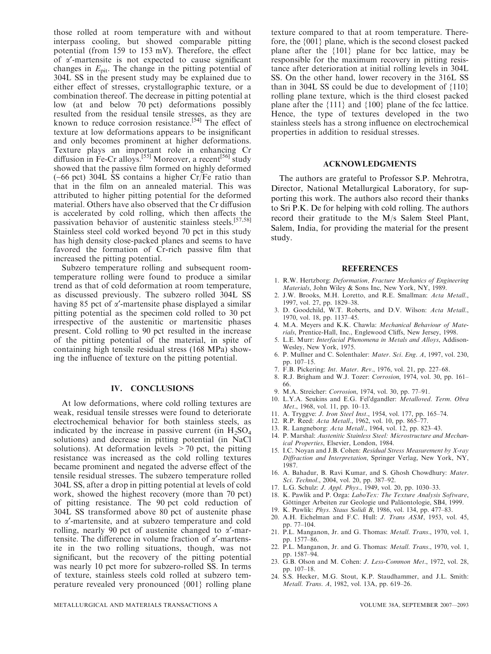those rolled at room temperature with and without interpass cooling, but showed comparable pitting potential (from 159 to 153 mV). Therefore, the effect of  $\alpha'$ -martensite is not expected to cause significant changes in  $E_{\text{pit}}$ . The change in the pitting potential of 304L SS in the present study may be explained due to either effect of stresses, crystallographic texture, or a combination thereof. The decrease in pitting potential at low (at and below 70 pct) deformations possibly resulted from the residual tensile stresses, as they are known to reduce corrosion resistance.<sup>[54]</sup> The effect of texture at low deformations appears to be insignificant and only becomes prominent at higher deformations. Texture plays an important role in enhancing Cr diffusion in Fe-Cr alloys.<sup>[55]</sup> Moreover, a recent<sup>[56]</sup> study showed that the passive film formed on highly deformed (~66 pct) 304L SS contains a higher Cr/Fe ratio than that in the film on an annealed material. This was attributed to higher pitting potential for the deformed material. Others have also observed that the Cr diffusion is accelerated by cold rolling, which then affects the passivation behavior of austenitic stainless steels.[57,58] Stainless steel cold worked beyond 70 pct in this study has high density close-packed planes and seems to have favored the formation of Cr-rich passive film that increased the pitting potential.

Subzero temperature rolling and subsequent roomtemperature rolling were found to produce a similar trend as that of cold deformation at room temperature, as discussed previously. The subzero rolled 304L SS having 85 pct of  $\alpha'$ -martensite phase displayed a similar pitting potential as the specimen cold rolled to 30 pct irrespective of the austenitic or martensitic phases present. Cold rolling to 90 pct resulted in the increase of the pitting potential of the material, in spite of containing high tensile residual stress (168 MPa) showing the influence of texture on the pitting potential.

#### IV. CONCLUSIONS

At low deformations, where cold rolling textures are weak, residual tensile stresses were found to deteriorate electrochemical behavior for both stainless steels, as indicated by the increase in passive current (in  $H_2SO_4$ solutions) and decrease in pitting potential (in NaCl solutions). At deformation levels  $>70$  pct, the pitting resistance was increased as the cold rolling textures became prominent and negated the adverse effect of the tensile residual stresses. The subzero temperature rolled 304L SS, after a drop in pitting potential at levels of cold work, showed the highest recovery (more than 70 pct) of pitting resistance. The 90 pct cold reduction of 304L SS transformed above 80 pct of austenite phase to a¢-martensite, and at subzero temperature and cold rolling, nearly 90 pct of austenite changed to  $\alpha'$ -martensite. The difference in volume fraction of  $\alpha'$ -martensite in the two rolling situations, though, was not significant, but the recovery of the pitting potential was nearly 10 pct more for subzero-rolled SS. In terms of texture, stainless steels cold rolled at subzero temperature revealed very pronounced {001} rolling plane texture compared to that at room temperature. Therefore, the {001} plane, which is the second closest packed plane after the {101} plane for bcc lattice, may be responsible for the maximum recovery in pitting resistance after deterioration at initial rolling levels in 304L SS. On the other hand, lower recovery in the 316L SS than in 304L SS could be due to development of  $\{110\}$ rolling plane texture, which is the third closest packed plane after the {111} and {100} plane of the fcc lattice. Hence, the type of textures developed in the two stainless steels has a strong influence on electrochemical properties in addition to residual stresses.

# ACKNOWLEDGMENTS

The authors are grateful to Professor S.P. Mehrotra, Director, National Metallurgical Laboratory, for supporting this work. The authors also record their thanks to Sri P.K. De for helping with cold rolling. The authors record their gratitude to the M/s Salem Steel Plant, Salem, India, for providing the material for the present study.

#### REFERENCES

- 1. R.W. Hertzborg: Deformation, Fracture Mechanics of Engineering Materials, John Wiley & Sons Inc, New York, NY, 1989.
- 2. J.W. Brooks, M.H. Loretto, and R.E. Smallman: Acta Metall., 1997, vol. 27, pp. 1829–38.
- 3. D. Goodchild, W.T. Roberts, and D.V. Wilson: Acta Metall., 1970, vol. 18, pp. 1137–45.
- 4. M.A. Meyers and K.K. Chawla: Mechanical Behaviour of Materials, Prentice-Hall, Inc., Englewood Cliffs, New Jersey, 1998.
- 5. L.E. Murr: Interfacial Phenomena in Metals and Alloys, Addison-Wesley, New York, 1975.
- 6. P. Mullner and C. Solenthaler: Mater. Sci. Eng. A, 1997, vol. 230, pp. 107–15.
- 7. F.B. Pickering: Int. Mater. Rev., 1976, vol. 21, pp. 227–68.
- 8. R.J. Brigham and W.J. Tozer: Corrosion, 1974, vol. 30, pp. 161– 66.
- 9. M.A. Streicher: Corrosion, 1974, vol. 30, pp. 77–91.
- 10. L.Y.A. Seukins and E.G. Fel'dgandler: Metalloved. Term. Obra Met., 1968, vol. 11, pp. 10-13.
- 11. A. Tryggve: J. Iron Steel Inst., 1954, vol. 177, pp. 165–74.
- 12. R.P. Reed: Acta Metall., 1962, vol. 10, pp. 865–77.
- 13. R. Langneborg: Acta Metall., 1964, vol. 12, pp. 823–43.
- 14. P. Marshal: Austenitic Stainless Steel: Microstructure and Mechanical Properties, Elsevier, London, 1984.
- 15. I.C. Noyan and J.B. Cohen: Residual Stress Measurement by X-ray Diffraction and Interpretation, Springer Verlag, New York, NY, 1987.
- 16. A. Bahadur, B. Ravi Kumar, and S. Ghosh Chowdhury: Mater. Sci. Technol., 2004, vol. 20, pp. 387–92.
- 17. L.G. Schulz: J. Appl. Phys., 1949, vol. 20, pp. 1030–33.
- 18. K. Pawlik and P. Ozga: LaboTex: The Texture Analysis Software, Göttinger Arbeiten zur Geologie und Paläontologie, SB4, 1999.
- 19. K. Pawlik: Phys. Staus Solidi B, 1986, vol. 134, pp. 477–83.
- 20. A.H. Eichelman and F.C. Hull: J. Trans ASM, 1953, vol. 45, pp. 77–104.
- 21. P.L. Manganon, Jr. and G. Thomas: Metall. Trans., 1970, vol. 1, pp. 1577–86.
- 22. P.L. Manganon, Jr. and G. Thomas: Metall. Trans., 1970, vol. 1, pp. 1587–94.
- 23. G.B. Olson and M. Cohen: J. Less-Common Met., 1972, vol. 28, pp. 107–18.
- 24. S.S. Hecker, M.G. Stout, K.P. Staudhammer, and J.L. Smith: Metall. Trans. A, 1982, vol. 13A, pp. 619–26.